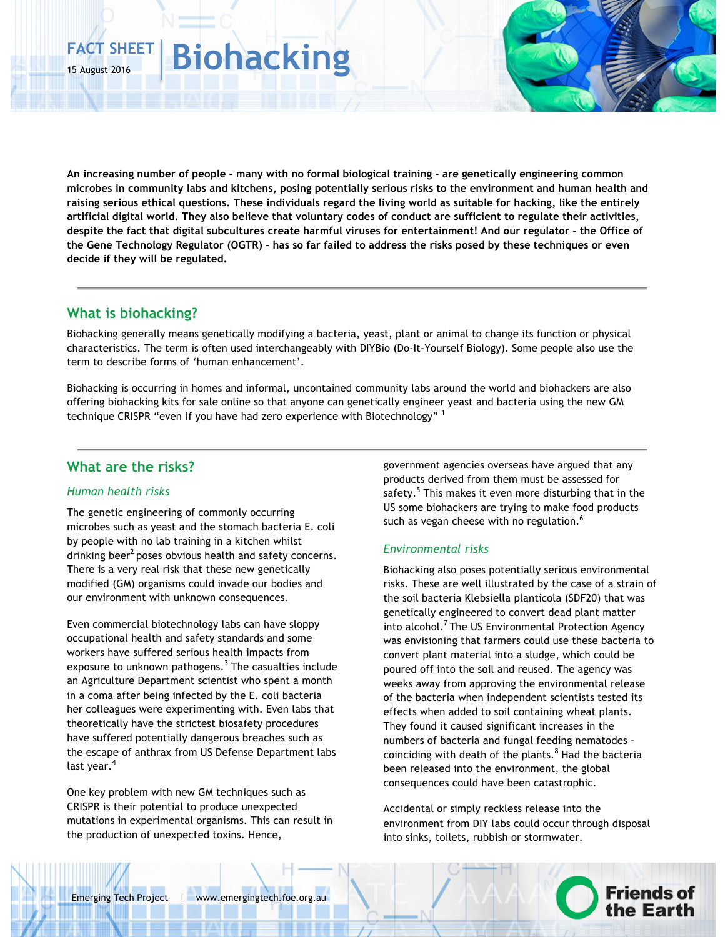# **FACT SHEET** 15 August 2016 **Biohacking**

**An increasing number of people - many with no formal biological training - are genetically engineering common microbes in community labs and kitchens, posing potentially serious risks to the environment and human health and raising serious ethical questions. These individuals regard the living world as suitable for hacking, like the entirely artificial digital world. They also believe that voluntary codes of conduct are sufficient to regulate their activities, despite the fact that digital subcultures create harmful viruses for entertainment! And our regulator - the Office of the Gene Technology Regulator (OGTR) - has so far failed to address the risks posed by these techniques or even decide if they will be regulated.**

### **What is biohacking?**

Biohacking generally means genetically modifying a bacteria, yeast, plant or animal to change its function or physical characteristics. The term is often used interchangeably with DIYBio (Do-It-Yourself Biology). Some people also use the term to describe forms of 'human enhancement'.

Biohacking is occurring in homes and informal, uncontained community labs around the world and biohackers are also offering biohacking kits for sale online so that anyone can genetically engineer yeast and bacteria using the new GM technique CRISPR "even if you have had zero experience with Biotechnology" 1

### **What are the risks?**

#### *Human health risks*

The genetic engineering of commonly occurring microbes such as yeast and the stomach bacteria E. coli by people with no lab training in a kitchen whilst drinking beer<sup>2</sup> poses obvious health and safety concerns. There is a very real risk that these new genetically modified (GM) organisms could invade our bodies and our environment with unknown consequences.

Even commercial biotechnology labs can have sloppy occupational health and safety standards and some workers have suffered serious health impacts from exposure to unknown pathogens. $3$  The casualties include an Agriculture Department scientist who spent a month in a coma after being infected by the E. coli bacteria her colleagues were experimenting with. Even labs that theoretically have the strictest biosafety procedures have suffered potentially dangerous breaches such as the escape of anthrax from US Defense Department labs last year.<sup>4</sup>

One key problem with new GM techniques such as CRISPR is their potential to produce unexpected mutations in experimental organisms. This can result in the production of unexpected toxins. Hence,

government agencies overseas have argued that any products derived from them must be assessed for safety.<sup>5</sup> This makes it even more disturbing that in the US some biohackers are trying to make food products such as vegan cheese with no regulation.<sup>6</sup>

#### *Environmental risks*

Biohacking also poses potentially serious environmental risks. These are well illustrated by the case of a strain of the soil bacteria Klebsiella planticola (SDF20) that was genetically engineered to convert dead plant matter into alcohol.<sup>7</sup> The US Environmental Protection Agency was envisioning that farmers could use these bacteria to convert plant material into a sludge, which could be poured off into the soil and reused. The agency was weeks away from approving the environmental release of the bacteria when independent scientists tested its effects when added to soil containing wheat plants. They found it caused significant increases in the numbers of bacteria and fungal feeding nematodes coinciding with death of the plants. $8$  Had the bacteria been released into the environment, the global consequences could have been catastrophic.

Accidental or simply reckless release into the environment from DIY labs could occur through disposal into sinks, toilets, rubbish or stormwater.